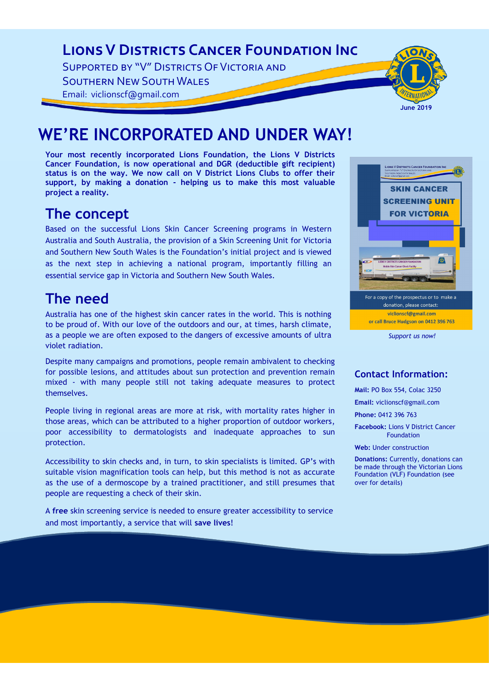### **Lions V Districts Cancer Foundation Inc**

Supported by "V" Districts Of Victoria and

Southern New South Wales

Email: viclionscf@gmail.com



# **WE'RE INCORPORATED AND UNDER WAY!**

**Your most recently incorporated Lions Foundation, the Lions V Districts Cancer Foundation, is now operational and DGR (deductible gift recipient) status is on the way. We now call on V District Lions Clubs to offer their support, by making a donation - helping us to make this most valuable project a reality.**

### **The concept**

Based on the successful Lions Skin Cancer Screening programs in Western Australia and South Australia, the provision of a Skin Screening Unit for Victoria and Southern New South Wales is the Foundation's initial project and is viewed as the next step in achieving a national program, importantly filling an essential service gap in Victoria and Southern New South Wales.

### **The need**

Australia has one of the highest skin cancer rates in the world. This is nothing to be proud of. With our love of the outdoors and our, at times, harsh climate, as a people we are often exposed to the dangers of excessive amounts of ultra violet radiation.

Despite many campaigns and promotions, people remain ambivalent to checking for possible lesions, and attitudes about sun protection and prevention remain mixed - with many people still not taking adequate measures to protect themselves.

People living in regional areas are more at risk, with mortality rates higher in those areas, which can be attributed to a higher proportion of outdoor workers, poor accessibility to dermatologists and inadequate approaches to sun protection.

Accessibility to skin checks and, in turn, to skin specialists is limited. GP's with suitable vision magnification tools can help, but this method is not as accurate as the use of a dermoscope by a trained practitioner, and still presumes that people are requesting a check of their skin.

A **free** skin screening service is needed to ensure greater accessibility to service and most importantly, a service that will **save lives**!



*Support us now!*

### **Contact Information:**

**Mail:** PO Box 554, Colac 3250

**Email:** viclionscf@gmail.com

**Phone:** 0412 396 763

**Facebook:** Lions V District Cancer Foundation

**Web:** Under construction

**Donations:** Currently, donations can be made through the Victorian Lions Foundation (VLF) Foundation (see over for details)